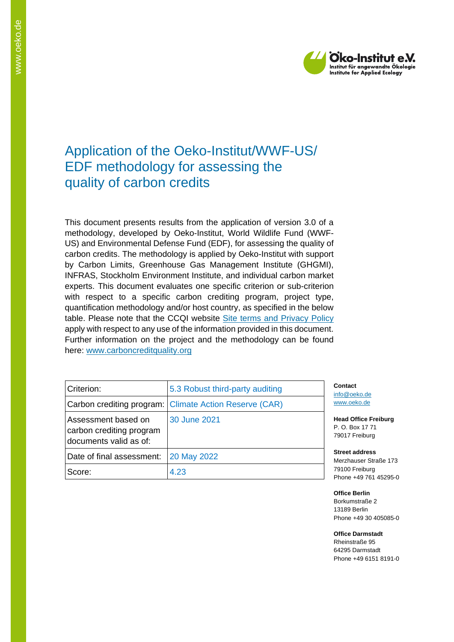

# Application of the Oeko-Institut/WWF-US/ EDF methodology for assessing the quality of carbon credits

This document presents results from the application of version 3.0 of a methodology, developed by Oeko-Institut, World Wildlife Fund (WWF-US) and Environmental Defense Fund (EDF), for assessing the quality of carbon credits. The methodology is applied by Oeko-Institut with support by Carbon Limits, Greenhouse Gas Management Institute (GHGMI), INFRAS, Stockholm Environment Institute, and individual carbon market experts. This document evaluates one specific criterion or sub-criterion with respect to a specific carbon crediting program, project type, quantification methodology and/or host country, as specified in the below table. Please note that the CCQI website [Site terms and Privacy Policy](https://carboncreditquality.org/terms.html) apply with respect to any use of the information provided in this document. Further information on the project and the methodology can be found here: [www.carboncreditquality.org](http://www.carboncreditquality.org/)

| Criterion:                                                                | 5.3 Robust third-party auditing                        | Co<br>info         |
|---------------------------------------------------------------------------|--------------------------------------------------------|--------------------|
|                                                                           | Carbon crediting program: Climate Action Reserve (CAR) | <b>WW</b>          |
| Assessment based on<br>carbon crediting program<br>documents valid as of: | 30 June 2021                                           | Hea<br>P. 0<br>790 |
| Date of final assessment:                                                 | 20 May 2022                                            | <b>Str</b><br>Me   |
| Score:                                                                    | 4.23                                                   | 791<br>Pho         |

**Contact** @oeko.de w.oeko.de

**Head Office Freiburg** P. O. Box 17 71 017 Freiburg

**Street address** rzhauser Straße 173 100 Freiburg one +49 761 45295-0

**Office Berlin** Borkumstraße 2 13189 Berlin Phone +49 30 405085-0

**Office Darmstadt** Rheinstraße 95 64295 Darmstadt Phone +49 6151 8191-0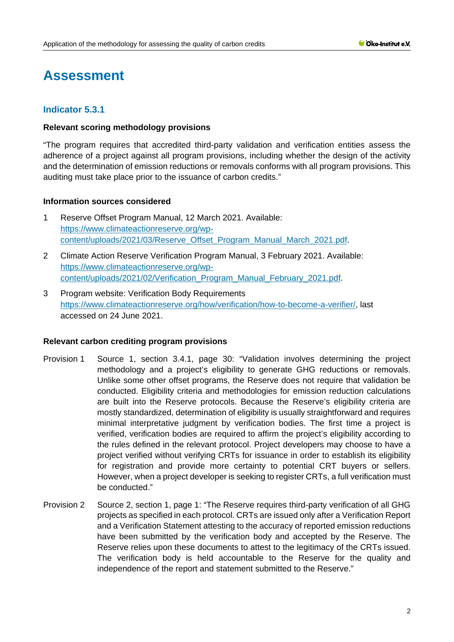# **Assessment**

# **Indicator 5.3.1**

## **Relevant scoring methodology provisions**

"The program requires that accredited third-party validation and verification entities assess the adherence of a project against all program provisions, including whether the design of the activity and the determination of emission reductions or removals conforms with all program provisions. This auditing must take place prior to the issuance of carbon credits."

## **Information sources considered**

- 1 Reserve Offset Program Manual, 12 March 2021. Available: [https://www.climateactionreserve.org/wp](https://www.climateactionreserve.org/wp-content/uploads/2021/03/Reserve_Offset_Program_Manual_March_2021.pdf)[content/uploads/2021/03/Reserve\\_Offset\\_Program\\_Manual\\_March\\_2021.pdf.](https://www.climateactionreserve.org/wp-content/uploads/2021/03/Reserve_Offset_Program_Manual_March_2021.pdf)
- 2 Climate Action Reserve Verification Program Manual, 3 February 2021. Available: [https://www.climateactionreserve.org/wp](https://www.climateactionreserve.org/wp-content/uploads/2021/02/Verification_Program_Manual_February_2021.pdf)[content/uploads/2021/02/Verification\\_Program\\_Manual\\_February\\_2021.pdf.](https://www.climateactionreserve.org/wp-content/uploads/2021/02/Verification_Program_Manual_February_2021.pdf)
- 3 Program website: Verification Body Requirements [https://www.climateactionreserve.org/how/verification/how-to-become-a-verifier/,](https://www.climateactionreserve.org/how/verification/how-to-become-a-verifier/) last accessed on 24 June 2021.

#### **Relevant carbon crediting program provisions**

- Provision 1 Source 1, section 3.4.1, page 30: "Validation involves determining the project methodology and a project's eligibility to generate GHG reductions or removals. Unlike some other offset programs, the Reserve does not require that validation be conducted. Eligibility criteria and methodologies for emission reduction calculations are built into the Reserve protocols. Because the Reserve's eligibility criteria are mostly standardized, determination of eligibility is usually straightforward and requires minimal interpretative judgment by verification bodies. The first time a project is verified, verification bodies are required to affirm the project's eligibility according to the rules defined in the relevant protocol. Project developers may choose to have a project verified without verifying CRTs for issuance in order to establish its eligibility for registration and provide more certainty to potential CRT buyers or sellers. However, when a project developer is seeking to register CRTs, a full verification must be conducted."
- Provision 2 Source 2, section 1, page 1: "The Reserve requires third-party verification of all GHG projects as specified in each protocol. CRTs are issued only after a Verification Report and a Verification Statement attesting to the accuracy of reported emission reductions have been submitted by the verification body and accepted by the Reserve. The Reserve relies upon these documents to attest to the legitimacy of the CRTs issued. The verification body is held accountable to the Reserve for the quality and independence of the report and statement submitted to the Reserve."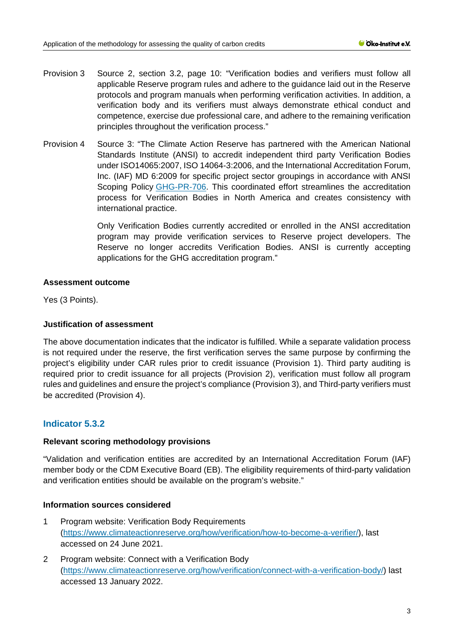- Provision 3 Source 2, section 3.2, page 10: "Verification bodies and verifiers must follow all applicable Reserve program rules and adhere to the guidance laid out in the Reserve protocols and program manuals when performing verification activities. In addition, a verification body and its verifiers must always demonstrate ethical conduct and competence, exercise due professional care, and adhere to the remaining verification principles throughout the verification process."
- Provision 4 Source 3: "The Climate Action Reserve has partnered with the American National Standards Institute (ANSI) to accredit independent third party Verification Bodies under ISO14065:2007, ISO 14064-3:2006, and the International Accreditation Forum, Inc. (IAF) MD 6:2009 for specific project sector groupings in accordance with ANSI Scoping Policy [GHG-PR-706.](https://www.ansica.org/wwwversion2/outside/ALLviewDoc.asp?dorID=234&menuID=200#doc8745) This coordinated effort streamlines the accreditation process for Verification Bodies in North America and creates consistency with international practice.

Only Verification Bodies currently accredited or enrolled in the ANSI accreditation program may provide verification services to Reserve project developers. The Reserve no longer accredits Verification Bodies. ANSI is currently accepting applications for the GHG accreditation program."

## **Assessment outcome**

Yes (3 Points).

## **Justification of assessment**

The above documentation indicates that the indicator is fulfilled. While a separate validation process is not required under the reserve, the first verification serves the same purpose by confirming the project's eligibility under CAR rules prior to credit issuance (Provision 1). Third party auditing is required prior to credit issuance for all projects (Provision 2), verification must follow all program rules and guidelines and ensure the project's compliance (Provision 3), and Third-party verifiers must be accredited (Provision 4).

# **Indicator 5.3.2**

## **Relevant scoring methodology provisions**

"Validation and verification entities are accredited by an International Accreditation Forum (IAF) member body or the CDM Executive Board (EB). The eligibility requirements of third-party validation and verification entities should be available on the program's website."

## **Information sources considered**

- 1 Program website: Verification Body Requirements [\(https://www.climateactionreserve.org/how/verification/how-to-become-a-verifier/\)](https://www.climateactionreserve.org/how/verification/how-to-become-a-verifier/), last accessed on 24 June 2021.
- 2 Program website: Connect with a Verification Body [\(https://www.climateactionreserve.org/how/verification/connect-with-a-verification-body/\)](https://www.climateactionreserve.org/how/verification/connect-with-a-verification-body/) last accessed 13 January 2022.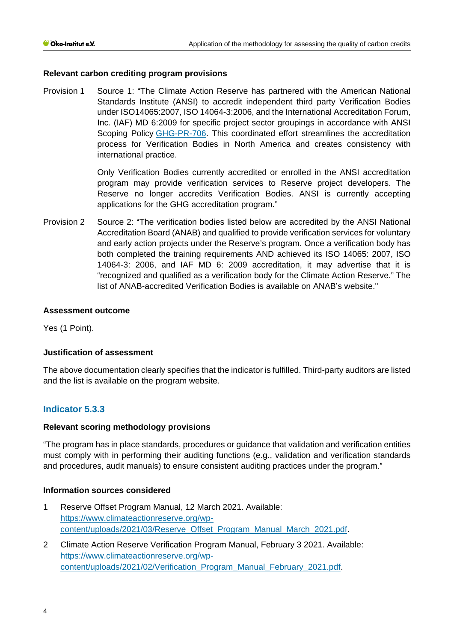## **Relevant carbon crediting program provisions**

Provision 1 Source 1: "The Climate Action Reserve has partnered with the American National Standards Institute (ANSI) to accredit independent third party Verification Bodies under ISO14065:2007, ISO 14064-3:2006, and the International Accreditation Forum, Inc. (IAF) MD 6:2009 for specific project sector groupings in accordance with ANSI Scoping Policy [GHG-PR-706.](https://www.ansica.org/wwwversion2/outside/ALLviewDoc.asp?dorID=234&menuID=200#doc8745) This coordinated effort streamlines the accreditation process for Verification Bodies in North America and creates consistency with international practice.

> Only Verification Bodies currently accredited or enrolled in the ANSI accreditation program may provide verification services to Reserve project developers. The Reserve no longer accredits Verification Bodies. ANSI is currently accepting applications for the GHG accreditation program."

Provision 2 Source 2: "The verification bodies listed below are accredited by the ANSI National Accreditation Board (ANAB) and qualified to provide verification services for voluntary and early action projects under the Reserve's program. Once a verification body has both completed the training requirements AND achieved its ISO 14065: 2007, ISO 14064-3: 2006, and IAF MD 6: 2009 accreditation, it may advertise that it is "recognized and qualified as a verification body for the Climate Action Reserve." The list of ANAB-accredited Verification Bodies is available on [ANAB's website.](https://www.ansica.org/wwwversion2/outside/ALLdirectoryListing.asp?menuID=200&prgID=200&status=4)"

## **Assessment outcome**

Yes (1 Point).

#### **Justification of assessment**

The above documentation clearly specifies that the indicator is fulfilled. Third-party auditors are listed and the list is available on the program website.

## **Indicator 5.3.3**

#### **Relevant scoring methodology provisions**

"The program has in place standards, procedures or guidance that validation and verification entities must comply with in performing their auditing functions (e.g., validation and verification standards and procedures, audit manuals) to ensure consistent auditing practices under the program."

#### **Information sources considered**

- 1 Reserve Offset Program Manual, 12 March 2021. Available: [https://www.climateactionreserve.org/wp](https://www.climateactionreserve.org/wp-content/uploads/2021/03/Reserve_Offset_Program_Manual_March_2021.pdf)[content/uploads/2021/03/Reserve\\_Offset\\_Program\\_Manual\\_March\\_2021.pdf.](https://www.climateactionreserve.org/wp-content/uploads/2021/03/Reserve_Offset_Program_Manual_March_2021.pdf)
- 2 Climate Action Reserve Verification Program Manual, February 3 2021. Available: [https://www.climateactionreserve.org/wp](https://www.climateactionreserve.org/wp-content/uploads/2021/02/Verification_Program_Manual_February_2021.pdf)[content/uploads/2021/02/Verification\\_Program\\_Manual\\_February\\_2021.pdf.](https://www.climateactionreserve.org/wp-content/uploads/2021/02/Verification_Program_Manual_February_2021.pdf)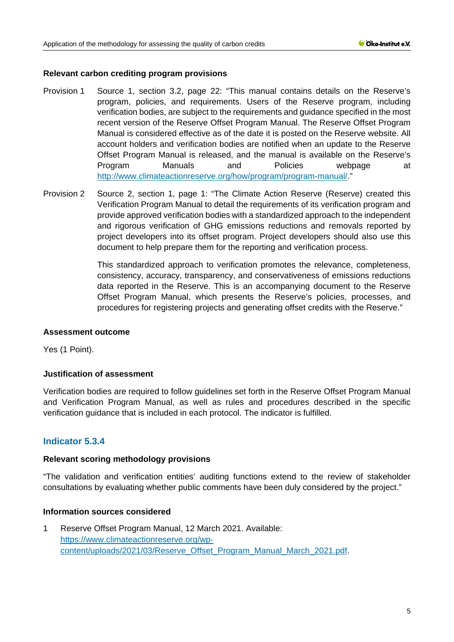## **Relevant carbon crediting program provisions**

- Provision 1 Source 1, section 3.2, page 22: "This manual contains details on the Reserve's program, policies, and requirements. Users of the Reserve program, including verification bodies, are subject to the requirements and guidance specified in the most recent version of the Reserve Offset Program Manual. The Reserve Offset Program Manual is considered effective as of the date it is posted on the Reserve website. All account holders and verification bodies are notified when an update to the Reserve Offset Program Manual is released, and the manual is available on the Reserve's Program Manuals and Policies webpage at [http://www.climateactionreserve.org/how/program/program-manual/.](http://www.climateactionreserve.org/how/program/program-manual/)"
- Provision 2 Source 2, section 1, page 1: "The Climate Action Reserve (Reserve) created this Verification Program Manual to detail the requirements of its verification program and provide approved verification bodies with a standardized approach to the independent and rigorous verification of GHG emissions reductions and removals reported by project developers into its offset program. Project developers should also use this document to help prepare them for the reporting and verification process.

This standardized approach to verification promotes the relevance, completeness, consistency, accuracy, transparency, and conservativeness of emissions reductions data reported in the Reserve. This is an accompanying document to the Reserve Offset Program Manual, which presents the Reserve's policies, processes, and procedures for registering projects and generating offset credits with the Reserve."

#### **Assessment outcome**

Yes (1 Point).

## **Justification of assessment**

Verification bodies are required to follow guidelines set forth in the Reserve Offset Program Manual and Verification Program Manual, as well as rules and procedures described in the specific verification guidance that is included in each protocol. The indicator is fulfilled.

# **Indicator 5.3.4**

#### **Relevant scoring methodology provisions**

"The validation and verification entities' auditing functions extend to the review of stakeholder consultations by evaluating whether public comments have been duly considered by the project."

#### **Information sources considered**

1 Reserve Offset Program Manual, 12 March 2021. Available: [https://www.climateactionreserve.org/wp](https://www.climateactionreserve.org/wp-content/uploads/2021/03/Reserve_Offset_Program_Manual_March_2021.pdf)[content/uploads/2021/03/Reserve\\_Offset\\_Program\\_Manual\\_March\\_2021.pdf.](https://www.climateactionreserve.org/wp-content/uploads/2021/03/Reserve_Offset_Program_Manual_March_2021.pdf)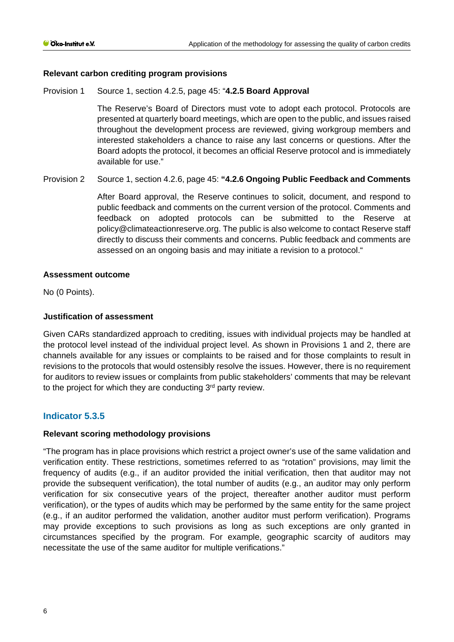## **Relevant carbon crediting program provisions**

Provision 1 Source 1, section 4.2.5, page 45: "**4.2.5 Board Approval**

The Reserve's Board of Directors must vote to adopt each protocol. Protocols are presented at quarterly board meetings, which are open to the public, and issues raised throughout the development process are reviewed, giving workgroup members and interested stakeholders a chance to raise any last concerns or questions. After the Board adopts the protocol, it becomes an official Reserve protocol and is immediately available for use."

Provision 2 Source 1, section 4.2.6, page 45: **"4.2.6 Ongoing Public Feedback and Comments**

After Board approval, the Reserve continues to solicit, document, and respond to public feedback and comments on the current version of the protocol. Comments and feedback on adopted protocols can be submitted to the Reserve at policy@climateactionreserve.org. The public is also welcome to contact Reserve staff directly to discuss their comments and concerns. Public feedback and comments are assessed on an ongoing basis and may initiate a revision to a protocol."

#### **Assessment outcome**

No (0 Points).

## **Justification of assessment**

Given CARs standardized approach to crediting, issues with individual projects may be handled at the protocol level instead of the individual project level. As shown in Provisions 1 and 2, there are channels available for any issues or complaints to be raised and for those complaints to result in revisions to the protocols that would ostensibly resolve the issues. However, there is no requirement for auditors to review issues or complaints from public stakeholders' comments that may be relevant to the project for which they are conducting 3<sup>rd</sup> party review.

# **Indicator 5.3.5**

#### **Relevant scoring methodology provisions**

"The program has in place provisions which restrict a project owner's use of the same validation and verification entity. These restrictions, sometimes referred to as "rotation" provisions, may limit the frequency of audits (e.g., if an auditor provided the initial verification, then that auditor may not provide the subsequent verification), the total number of audits (e.g., an auditor may only perform verification for six consecutive years of the project, thereafter another auditor must perform verification), or the types of audits which may be performed by the same entity for the same project (e.g., if an auditor performed the validation, another auditor must perform verification). Programs may provide exceptions to such provisions as long as such exceptions are only granted in circumstances specified by the program. For example, geographic scarcity of auditors may necessitate the use of the same auditor for multiple verifications."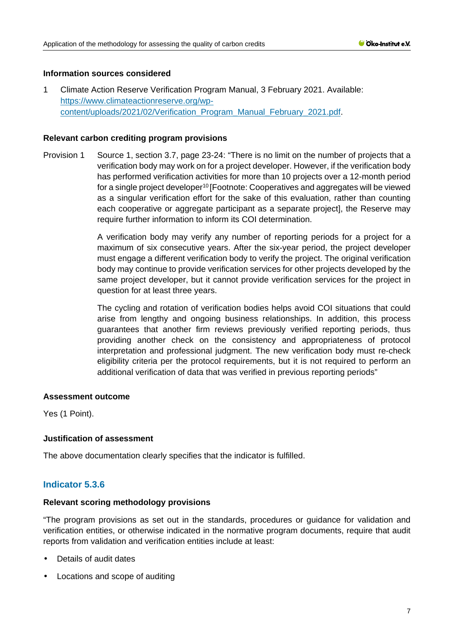## **Information sources considered**

1 Climate Action Reserve Verification Program Manual, 3 February 2021. Available: [https://www.climateactionreserve.org/wp](https://www.climateactionreserve.org/wp-content/uploads/2021/02/Verification_Program_Manual_February_2021.pdf)[content/uploads/2021/02/Verification\\_Program\\_Manual\\_February\\_2021.pdf.](https://www.climateactionreserve.org/wp-content/uploads/2021/02/Verification_Program_Manual_February_2021.pdf)

### **Relevant carbon crediting program provisions**

Provision 1 Source 1, section 3.7, page 23-24: "There is no limit on the number of projects that a verification body may work on for a project developer. However, if the verification body has performed verification activities for more than 10 projects over a 12-month period for a single project developer10 [Footnote: Cooperatives and aggregates will be viewed as a singular verification effort for the sake of this evaluation, rather than counting each cooperative or aggregate participant as a separate project], the Reserve may require further information to inform its COI determination.

> A verification body may verify any number of reporting periods for a project for a maximum of six consecutive years. After the six-year period, the project developer must engage a different verification body to verify the project. The original verification body may continue to provide verification services for other projects developed by the same project developer, but it cannot provide verification services for the project in question for at least three years.

> The cycling and rotation of verification bodies helps avoid COI situations that could arise from lengthy and ongoing business relationships. In addition, this process guarantees that another firm reviews previously verified reporting periods, thus providing another check on the consistency and appropriateness of protocol interpretation and professional judgment. The new verification body must re-check eligibility criteria per the protocol requirements, but it is not required to perform an additional verification of data that was verified in previous reporting periods"

#### **Assessment outcome**

Yes (1 Point).

## **Justification of assessment**

The above documentation clearly specifies that the indicator is fulfilled.

## **Indicator 5.3.6**

## **Relevant scoring methodology provisions**

"The program provisions as set out in the standards, procedures or guidance for validation and verification entities, or otherwise indicated in the normative program documents, require that audit reports from validation and verification entities include at least:

- Details of audit dates
- Locations and scope of auditing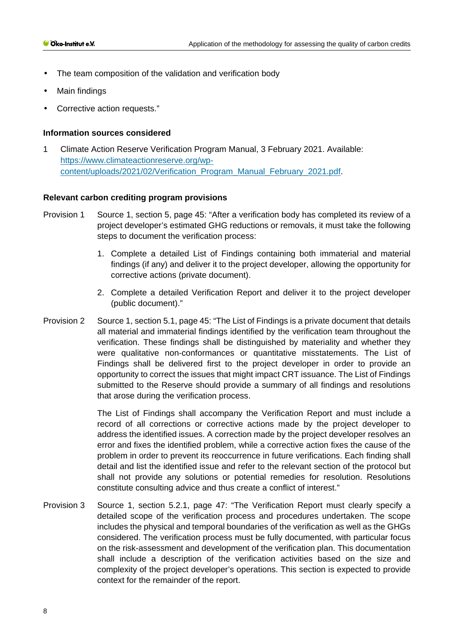- The team composition of the validation and verification body Ŷ.
- Main findings  $\mathbf{r}$
- Corrective action requests."

### **Information sources considered**

1 Climate Action Reserve Verification Program Manual, 3 February 2021. Available: [https://www.climateactionreserve.org/wp](https://www.climateactionreserve.org/wp-content/uploads/2021/02/Verification_Program_Manual_February_2021.pdf)[content/uploads/2021/02/Verification\\_Program\\_Manual\\_February\\_2021.pdf.](https://www.climateactionreserve.org/wp-content/uploads/2021/02/Verification_Program_Manual_February_2021.pdf)

#### **Relevant carbon crediting program provisions**

- Provision 1 Source 1, section 5, page 45: "After a verification body has completed its review of a project developer's estimated GHG reductions or removals, it must take the following steps to document the verification process:
	- 1. Complete a detailed List of Findings containing both immaterial and material findings (if any) and deliver it to the project developer, allowing the opportunity for corrective actions (private document).
	- 2. Complete a detailed Verification Report and deliver it to the project developer (public document)."
- Provision 2 Source 1, section 5.1, page 45: "The List of Findings is a private document that details all material and immaterial findings identified by the verification team throughout the verification. These findings shall be distinguished by materiality and whether they were qualitative non-conformances or quantitative misstatements. The List of Findings shall be delivered first to the project developer in order to provide an opportunity to correct the issues that might impact CRT issuance. The List of Findings submitted to the Reserve should provide a summary of all findings and resolutions that arose during the verification process.

The List of Findings shall accompany the Verification Report and must include a record of all corrections or corrective actions made by the project developer to address the identified issues. A correction made by the project developer resolves an error and fixes the identified problem, while a corrective action fixes the cause of the problem in order to prevent its reoccurrence in future verifications. Each finding shall detail and list the identified issue and refer to the relevant section of the protocol but shall not provide any solutions or potential remedies for resolution. Resolutions constitute consulting advice and thus create a conflict of interest."

Provision 3 Source 1, section 5.2.1, page 47: "The Verification Report must clearly specify a detailed scope of the verification process and procedures undertaken. The scope includes the physical and temporal boundaries of the verification as well as the GHGs considered. The verification process must be fully documented, with particular focus on the risk-assessment and development of the verification plan. This documentation shall include a description of the verification activities based on the size and complexity of the project developer's operations. This section is expected to provide context for the remainder of the report.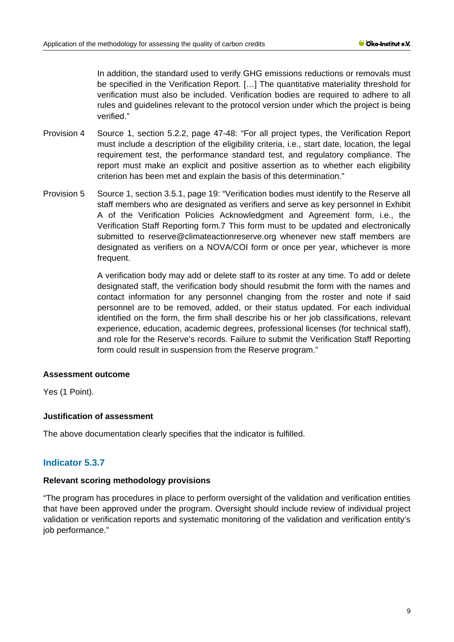In addition, the standard used to verify GHG emissions reductions or removals must be specified in the Verification Report. […] The quantitative materiality threshold for verification must also be included. Verification bodies are required to adhere to all rules and guidelines relevant to the protocol version under which the project is being verified."

- Provision 4 Source 1, section 5.2.2, page 47-48: "For all project types, the Verification Report must include a description of the eligibility criteria, i.e., start date, location, the legal requirement test, the performance standard test, and regulatory compliance. The report must make an explicit and positive assertion as to whether each eligibility criterion has been met and explain the basis of this determination."
- Provision 5 Source 1, section 3.5.1, page 19: "Verification bodies must identify to the Reserve all staff members who are designated as verifiers and serve as key personnel in Exhibit A of the Verification Policies Acknowledgment and Agreement form, i.e., the Verification Staff Reporting form.7 This form must to be updated and electronically submitted to reserve@climateactionreserve.org whenever new staff members are designated as verifiers on a NOVA/COI form or once per year, whichever is more frequent.

A verification body may add or delete staff to its roster at any time. To add or delete designated staff, the verification body should resubmit the form with the names and contact information for any personnel changing from the roster and note if said personnel are to be removed, added, or their status updated. For each individual identified on the form, the firm shall describe his or her job classifications, relevant experience, education, academic degrees, professional licenses (for technical staff), and role for the Reserve's records. Failure to submit the Verification Staff Reporting form could result in suspension from the Reserve program."

#### **Assessment outcome**

Yes (1 Point).

## **Justification of assessment**

The above documentation clearly specifies that the indicator is fulfilled.

# **Indicator 5.3.7**

#### **Relevant scoring methodology provisions**

"The program has procedures in place to perform oversight of the validation and verification entities that have been approved under the program. Oversight should include review of individual project validation or verification reports and systematic monitoring of the validation and verification entity's iob performance."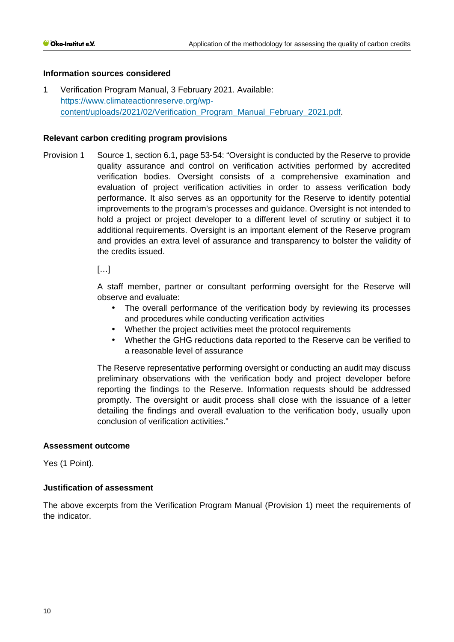## **Information sources considered**

1 Verification Program Manual, 3 February 2021. Available: [https://www.climateactionreserve.org/wp](https://www.climateactionreserve.org/wp-content/uploads/2021/02/Verification_Program_Manual_February_2021.pdf)[content/uploads/2021/02/Verification\\_Program\\_Manual\\_February\\_2021.pdf.](https://www.climateactionreserve.org/wp-content/uploads/2021/02/Verification_Program_Manual_February_2021.pdf)

#### **Relevant carbon crediting program provisions**

Provision 1 Source 1, section 6.1, page 53-54: "Oversight is conducted by the Reserve to provide quality assurance and control on verification activities performed by accredited verification bodies. Oversight consists of a comprehensive examination and evaluation of project verification activities in order to assess verification body performance. It also serves as an opportunity for the Reserve to identify potential improvements to the program's processes and guidance. Oversight is not intended to hold a project or project developer to a different level of scrutiny or subject it to additional requirements. Oversight is an important element of the Reserve program and provides an extra level of assurance and transparency to bolster the validity of the credits issued.

 $[...]$ 

A staff member, partner or consultant performing oversight for the Reserve will observe and evaluate:

- The overall performance of the verification body by reviewing its processes and procedures while conducting verification activities
- Whether the project activities meet the protocol requirements
- Whether the GHG reductions data reported to the Reserve can be verified to a reasonable level of assurance

The Reserve representative performing oversight or conducting an audit may discuss preliminary observations with the verification body and project developer before reporting the findings to the Reserve. Information requests should be addressed promptly. The oversight or audit process shall close with the issuance of a letter detailing the findings and overall evaluation to the verification body, usually upon conclusion of verification activities."

#### **Assessment outcome**

Yes (1 Point).

## **Justification of assessment**

The above excerpts from the Verification Program Manual (Provision 1) meet the requirements of the indicator.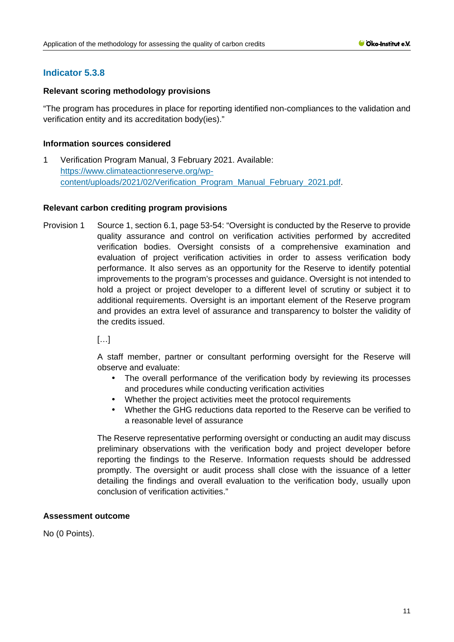# **Indicator 5.3.8**

## **Relevant scoring methodology provisions**

"The program has procedures in place for reporting identified non-compliances to the validation and verification entity and its accreditation body(ies)."

## **Information sources considered**

1 Verification Program Manual, 3 February 2021. Available: [https://www.climateactionreserve.org/wp](https://www.climateactionreserve.org/wp-content/uploads/2021/02/Verification_Program_Manual_February_2021.pdf)[content/uploads/2021/02/Verification\\_Program\\_Manual\\_February\\_2021.pdf.](https://www.climateactionreserve.org/wp-content/uploads/2021/02/Verification_Program_Manual_February_2021.pdf)

## **Relevant carbon crediting program provisions**

Provision 1 Source 1, section 6.1, page 53-54: "Oversight is conducted by the Reserve to provide quality assurance and control on verification activities performed by accredited verification bodies. Oversight consists of a comprehensive examination and evaluation of project verification activities in order to assess verification body performance. It also serves as an opportunity for the Reserve to identify potential improvements to the program's processes and guidance. Oversight is not intended to hold a project or project developer to a different level of scrutiny or subject it to additional requirements. Oversight is an important element of the Reserve program and provides an extra level of assurance and transparency to bolster the validity of the credits issued.

 $\left[\begin{matrix}1\\1\end{matrix}\right]$ 

A staff member, partner or consultant performing oversight for the Reserve will observe and evaluate:

- The overall performance of the verification body by reviewing its processes and procedures while conducting verification activities
- Whether the project activities meet the protocol requirements
- Whether the GHG reductions data reported to the Reserve can be verified to a reasonable level of assurance

The Reserve representative performing oversight or conducting an audit may discuss preliminary observations with the verification body and project developer before reporting the findings to the Reserve. Information requests should be addressed promptly. The oversight or audit process shall close with the issuance of a letter detailing the findings and overall evaluation to the verification body, usually upon conclusion of verification activities."

## **Assessment outcome**

No (0 Points).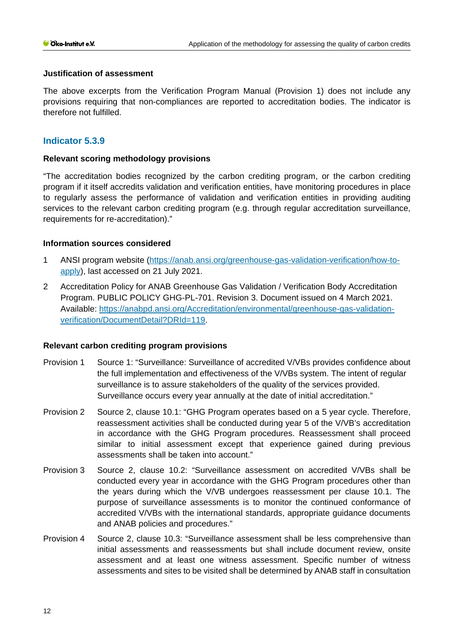#### **Justification of assessment**

The above excerpts from the Verification Program Manual (Provision 1) does not include any provisions requiring that non-compliances are reported to accreditation bodies. The indicator is therefore not fulfilled.

# **Indicator 5.3.9**

## **Relevant scoring methodology provisions**

"The accreditation bodies recognized by the carbon crediting program, or the carbon crediting program if it itself accredits validation and verification entities, have monitoring procedures in place to regularly assess the performance of validation and verification entities in providing auditing services to the relevant carbon crediting program (e.g. through regular accreditation surveillance, requirements for re-accreditation)."

## **Information sources considered**

- 1 ANSI program website [\(https://anab.ansi.org/greenhouse-gas-validation-verification/how-to](https://anab.ansi.org/greenhouse-gas-validation-verification/how-to-apply)[apply\)](https://anab.ansi.org/greenhouse-gas-validation-verification/how-to-apply), last accessed on 21 July 2021.
- 2 Accreditation Policy for ANAB Greenhouse Gas Validation / Verification Body Accreditation Program. PUBLIC POLICY GHG-PL-701. Revision 3. Document issued on 4 March 2021. Available: [https://anabpd.ansi.org/Accreditation/environmental/greenhouse-gas-validation](https://anabpd.ansi.org/Accreditation/environmental/greenhouse-gas-validation-verification/DocumentDetail?DRId=119)[verification/DocumentDetail?DRId=119.](https://anabpd.ansi.org/Accreditation/environmental/greenhouse-gas-validation-verification/DocumentDetail?DRId=119)

#### **Relevant carbon crediting program provisions**

- Provision 1 Source 1: "Surveillance: Surveillance of accredited V/VBs provides confidence about the full implementation and effectiveness of the V/VBs system. The intent of regular surveillance is to assure stakeholders of the quality of the services provided. Surveillance occurs every year annually at the date of initial accreditation."
- Provision 2 Source 2, clause 10.1: "GHG Program operates based on a 5 year cycle. Therefore, reassessment activities shall be conducted during year 5 of the V/VB's accreditation in accordance with the GHG Program procedures. Reassessment shall proceed similar to initial assessment except that experience gained during previous assessments shall be taken into account."
- Provision 3 Source 2, clause 10.2: "Surveillance assessment on accredited V/VBs shall be conducted every year in accordance with the GHG Program procedures other than the years during which the V/VB undergoes reassessment per clause 10.1. The purpose of surveillance assessments is to monitor the continued conformance of accredited V/VBs with the international standards, appropriate guidance documents and ANAB policies and procedures."
- Provision 4 Source 2, clause 10.3: "Surveillance assessment shall be less comprehensive than initial assessments and reassessments but shall include document review, onsite assessment and at least one witness assessment. Specific number of witness assessments and sites to be visited shall be determined by ANAB staff in consultation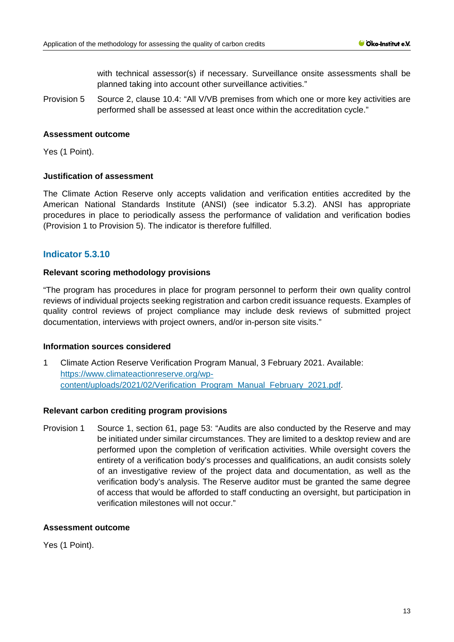with technical assessor(s) if necessary. Surveillance onsite assessments shall be planned taking into account other surveillance activities."

Provision 5 Source 2, clause 10.4: "All V/VB premises from which one or more key activities are performed shall be assessed at least once within the accreditation cycle."

#### **Assessment outcome**

Yes (1 Point).

#### **Justification of assessment**

The Climate Action Reserve only accepts validation and verification entities accredited by the American National Standards Institute (ANSI) (see indicator 5.3.2). ANSI has appropriate procedures in place to periodically assess the performance of validation and verification bodies (Provision 1 to Provision 5). The indicator is therefore fulfilled.

## **Indicator 5.3.10**

#### **Relevant scoring methodology provisions**

"The program has procedures in place for program personnel to perform their own quality control reviews of individual projects seeking registration and carbon credit issuance requests. Examples of quality control reviews of project compliance may include desk reviews of submitted project documentation, interviews with project owners, and/or in-person site visits."

#### **Information sources considered**

1 Climate Action Reserve Verification Program Manual, 3 February 2021. Available: [https://www.climateactionreserve.org/wp](https://www.climateactionreserve.org/wp-content/uploads/2021/02/Verification_Program_Manual_February_2021.pdf)[content/uploads/2021/02/Verification\\_Program\\_Manual\\_February\\_2021.pdf.](https://www.climateactionreserve.org/wp-content/uploads/2021/02/Verification_Program_Manual_February_2021.pdf)

#### **Relevant carbon crediting program provisions**

Provision 1 Source 1, section 61, page 53: "Audits are also conducted by the Reserve and may be initiated under similar circumstances. They are limited to a desktop review and are performed upon the completion of verification activities. While oversight covers the entirety of a verification body's processes and qualifications, an audit consists solely of an investigative review of the project data and documentation, as well as the verification body's analysis. The Reserve auditor must be granted the same degree of access that would be afforded to staff conducting an oversight, but participation in verification milestones will not occur."

## **Assessment outcome**

Yes (1 Point).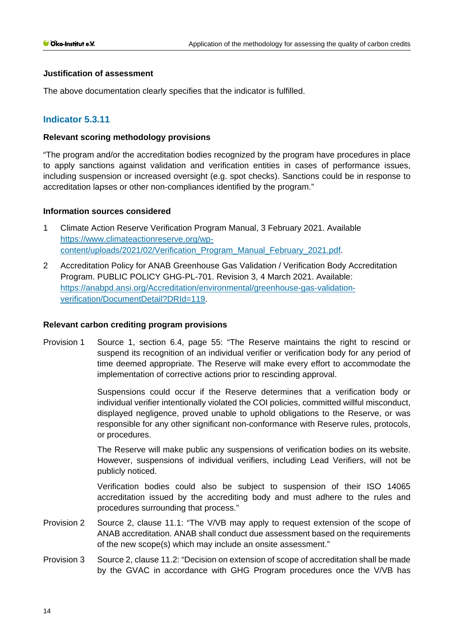#### **Justification of assessment**

The above documentation clearly specifies that the indicator is fulfilled.

## **Indicator 5.3.11**

#### **Relevant scoring methodology provisions**

"The program and/or the accreditation bodies recognized by the program have procedures in place to apply sanctions against validation and verification entities in cases of performance issues, including suspension or increased oversight (e.g. spot checks). Sanctions could be in response to accreditation lapses or other non-compliances identified by the program."

#### **Information sources considered**

- 1 Climate Action Reserve Verification Program Manual, 3 February 2021. Available [https://www.climateactionreserve.org/wp](https://www.climateactionreserve.org/wp-content/uploads/2021/02/Verification_Program_Manual_February_2021.pdf)[content/uploads/2021/02/Verification\\_Program\\_Manual\\_February\\_2021.pdf.](https://www.climateactionreserve.org/wp-content/uploads/2021/02/Verification_Program_Manual_February_2021.pdf)
- 2 Accreditation Policy for ANAB Greenhouse Gas Validation / Verification Body Accreditation Program. PUBLIC POLICY GHG-PL-701. Revision 3, 4 March 2021. Available: [https://anabpd.ansi.org/Accreditation/environmental/greenhouse-gas-validation](https://anabpd.ansi.org/Accreditation/environmental/greenhouse-gas-validation-verification/DocumentDetail?DRId=119)[verification/DocumentDetail?DRId=119.](https://anabpd.ansi.org/Accreditation/environmental/greenhouse-gas-validation-verification/DocumentDetail?DRId=119)

#### **Relevant carbon crediting program provisions**

Provision 1 Source 1, section 6.4, page 55: "The Reserve maintains the right to rescind or suspend its recognition of an individual verifier or verification body for any period of time deemed appropriate. The Reserve will make every effort to accommodate the implementation of corrective actions prior to rescinding approval.

> Suspensions could occur if the Reserve determines that a verification body or individual verifier intentionally violated the COI policies, committed willful misconduct, displayed negligence, proved unable to uphold obligations to the Reserve, or was responsible for any other significant non-conformance with Reserve rules, protocols, or procedures.

> The Reserve will make public any suspensions of verification bodies on its website. However, suspensions of individual verifiers, including Lead Verifiers, will not be publicly noticed.

> Verification bodies could also be subject to suspension of their ISO 14065 accreditation issued by the accrediting body and must adhere to the rules and procedures surrounding that process."

- Provision 2 Source 2, clause 11.1: "The V/VB may apply to request extension of the scope of ANAB accreditation. ANAB shall conduct due assessment based on the requirements of the new scope(s) which may include an onsite assessment."
- Provision 3 Source 2, clause 11.2: "Decision on extension of scope of accreditation shall be made by the GVAC in accordance with GHG Program procedures once the V/VB has